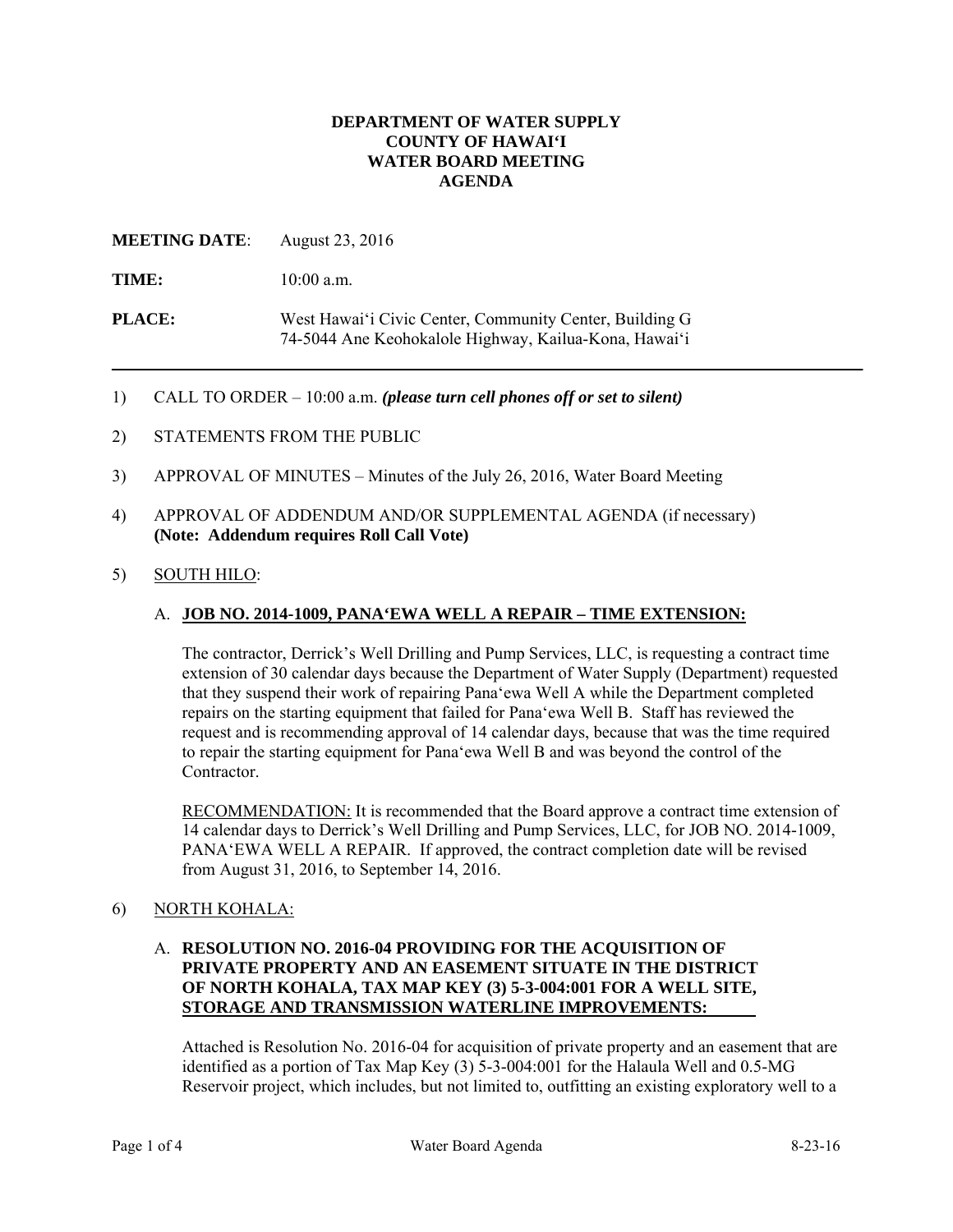#### **DEPARTMENT OF WATER SUPPLY COUNTY OF HAWAI'I WATER BOARD MEETING AGENDA**

## **MEETING DATE**: August 23, 2016

TIME:  $10:00$  a.m.

**PLACE:** West Hawai'i Civic Center, Community Center, Building G 74-5044 Ane Keohokalole Highway, Kailua-Kona, Hawai'i

- 1) CALL TO ORDER 10:00 a.m. *(please turn cell phones off or set to silent)*
- 2) STATEMENTS FROM THE PUBLIC
- 3) APPROVAL OF MINUTES Minutes of the July 26, 2016, Water Board Meeting
- 4) APPROVAL OF ADDENDUM AND/OR SUPPLEMENTAL AGENDA (if necessary) **(Note: Addendum requires Roll Call Vote)**
- 5) SOUTH HILO:

#### A. **JOB NO. 2014-1009, PANA'EWA WELL A REPAIR – TIME EXTENSION:**

The contractor, Derrick's Well Drilling and Pump Services, LLC, is requesting a contract time extension of 30 calendar days because the Department of Water Supply (Department) requested that they suspend their work of repairing Pana'ewa Well A while the Department completed repairs on the starting equipment that failed for Pana'ewa Well B. Staff has reviewed the request and is recommending approval of 14 calendar days, because that was the time required to repair the starting equipment for Pana'ewa Well B and was beyond the control of the Contractor.

RECOMMENDATION: It is recommended that the Board approve a contract time extension of 14 calendar days to Derrick's Well Drilling and Pump Services, LLC, for JOB NO. 2014-1009, PANA'EWA WELL A REPAIR. If approved, the contract completion date will be revised from August 31, 2016, to September 14, 2016.

# 6) NORTH KOHALA:

## A. **RESOLUTION NO. 2016-04 PROVIDING FOR THE ACQUISITION OF PRIVATE PROPERTY AND AN EASEMENT SITUATE IN THE DISTRICT OF NORTH KOHALA, TAX MAP KEY (3) 5-3-004:001 FOR A WELL SITE, STORAGE AND TRANSMISSION WATERLINE IMPROVEMENTS:**

Attached is Resolution No. 2016-04 for acquisition of private property and an easement that are identified as a portion of Tax Map Key (3) 5-3-004:001 for the Halaula Well and 0.5-MG Reservoir project, which includes, but not limited to, outfitting an existing exploratory well to a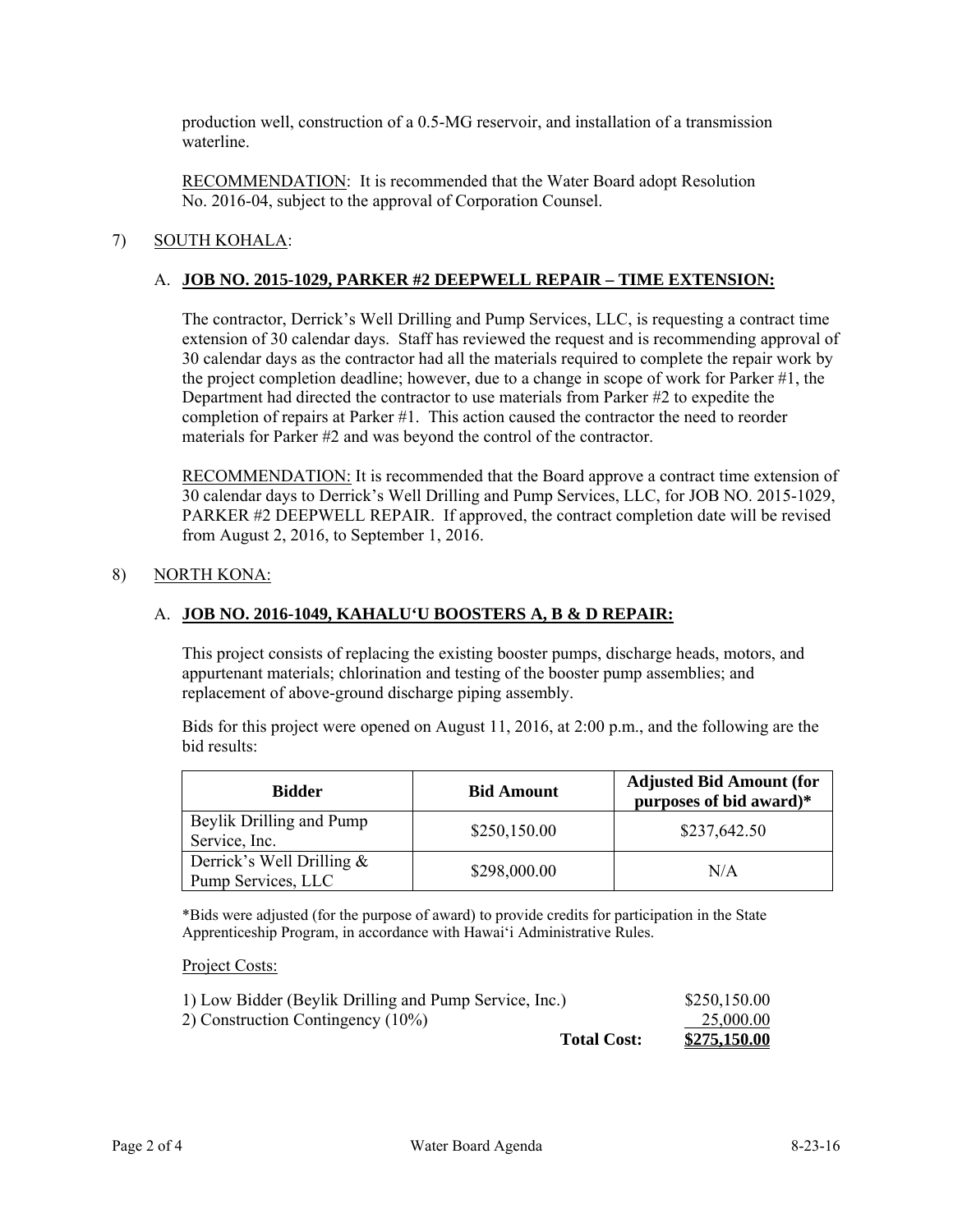production well, construction of a 0.5-MG reservoir, and installation of a transmission waterline.

RECOMMENDATION: It is recommended that the Water Board adopt Resolution No. 2016-04, subject to the approval of Corporation Counsel.

# 7) SOUTH KOHALA:

#### A. **JOB NO. 2015-1029, PARKER #2 DEEPWELL REPAIR – TIME EXTENSION:**

The contractor, Derrick's Well Drilling and Pump Services, LLC, is requesting a contract time extension of 30 calendar days. Staff has reviewed the request and is recommending approval of 30 calendar days as the contractor had all the materials required to complete the repair work by the project completion deadline; however, due to a change in scope of work for Parker #1, the Department had directed the contractor to use materials from Parker #2 to expedite the completion of repairs at Parker #1. This action caused the contractor the need to reorder materials for Parker #2 and was beyond the control of the contractor.

RECOMMENDATION: It is recommended that the Board approve a contract time extension of 30 calendar days to Derrick's Well Drilling and Pump Services, LLC, for JOB NO. 2015-1029, PARKER #2 DEEPWELL REPAIR. If approved, the contract completion date will be revised from August 2, 2016, to September 1, 2016.

#### 8) NORTH KONA:

#### A. **JOB NO. 2016-1049, KAHALU'U BOOSTERS A, B & D REPAIR:**

This project consists of replacing the existing booster pumps, discharge heads, motors, and appurtenant materials; chlorination and testing of the booster pump assemblies; and replacement of above-ground discharge piping assembly.

Bids for this project were opened on August 11, 2016, at 2:00 p.m., and the following are the bid results:

| <b>Bidder</b>                                      | <b>Bid Amount</b> | <b>Adjusted Bid Amount (for</b><br>purposes of bid award)* |
|----------------------------------------------------|-------------------|------------------------------------------------------------|
| Beylik Drilling and Pump<br>Service, Inc.          | \$250,150.00      | \$237,642.50                                               |
| Derrick's Well Drilling $\&$<br>Pump Services, LLC | \$298,000.00      | N/A                                                        |

\*Bids were adjusted (for the purpose of award) to provide credits for participation in the State Apprenticeship Program, in accordance with Hawaiʻi Administrative Rules.

Project Costs:

| 1) Low Bidder (Beylik Drilling and Pump Service, Inc.) |                    | \$250,150.00 |
|--------------------------------------------------------|--------------------|--------------|
| 2) Construction Contingency (10%)                      |                    | 25,000.00    |
|                                                        | <b>Total Cost:</b> | \$275,150.00 |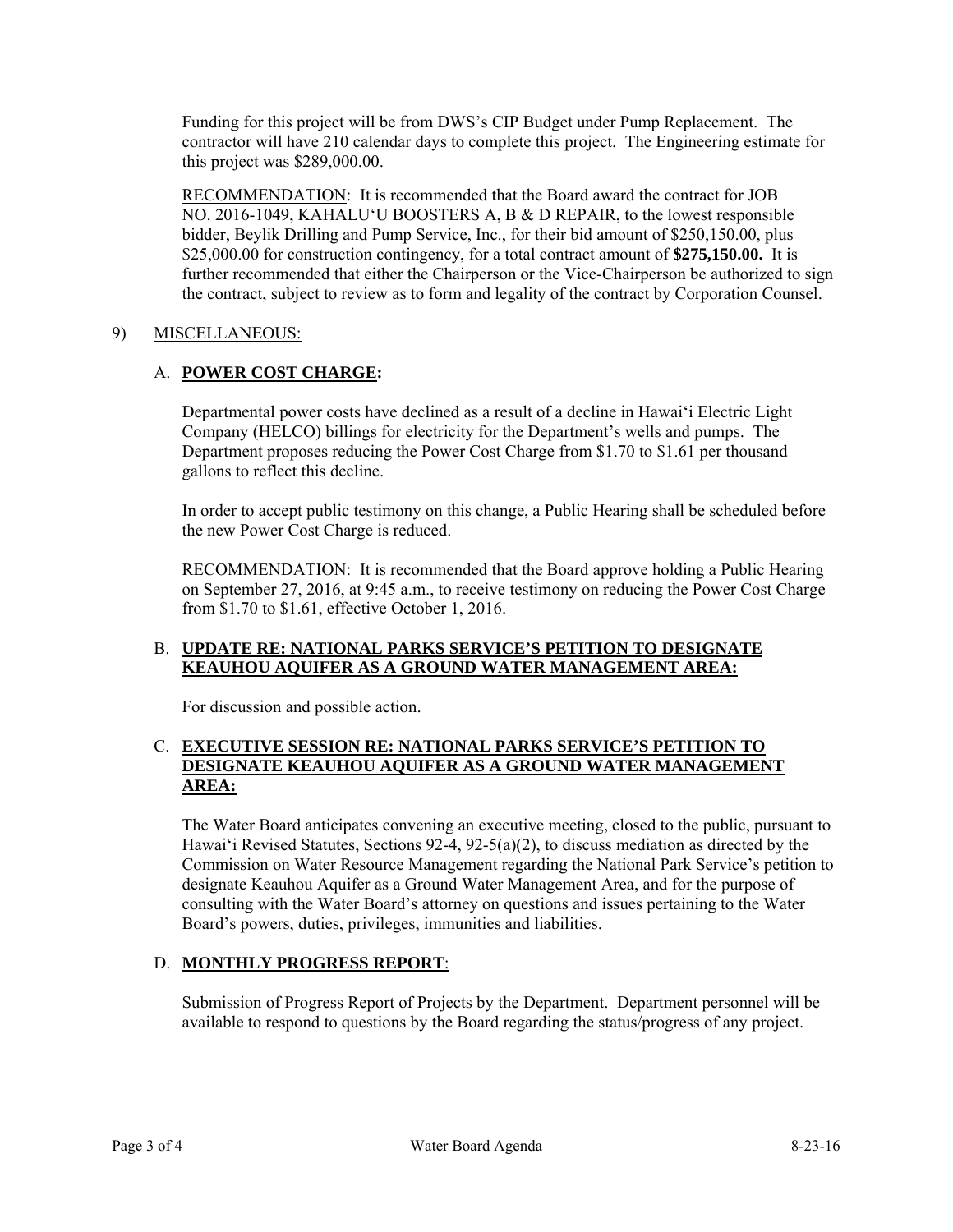Funding for this project will be from DWS's CIP Budget under Pump Replacement. The contractor will have 210 calendar days to complete this project. The Engineering estimate for this project was \$289,000.00.

RECOMMENDATION: It is recommended that the Board award the contract for JOB NO. 2016-1049, KAHALUʻU BOOSTERS A, B & D REPAIR, to the lowest responsible bidder, Beylik Drilling and Pump Service, Inc., for their bid amount of \$250,150.00, plus \$25,000.00 for construction contingency, for a total contract amount of **\$275,150.00.** It is further recommended that either the Chairperson or the Vice-Chairperson be authorized to sign the contract, subject to review as to form and legality of the contract by Corporation Counsel.

## 9) MISCELLANEOUS:

# A. **POWER COST CHARGE:**

Departmental power costs have declined as a result of a decline in Hawai'i Electric Light Company (HELCO) billings for electricity for the Department's wells and pumps. The Department proposes reducing the Power Cost Charge from \$1.70 to \$1.61 per thousand gallons to reflect this decline.

In order to accept public testimony on this change, a Public Hearing shall be scheduled before the new Power Cost Charge is reduced.

RECOMMENDATION: It is recommended that the Board approve holding a Public Hearing on September 27, 2016, at 9:45 a.m., to receive testimony on reducing the Power Cost Charge from \$1.70 to \$1.61, effective October 1, 2016.

## B. **UPDATE RE: NATIONAL PARKS SERVICE'S PETITION TO DESIGNATE KEAUHOU AQUIFER AS A GROUND WATER MANAGEMENT AREA:**

For discussion and possible action.

#### C. **EXECUTIVE SESSION RE: NATIONAL PARKS SERVICE'S PETITION TO DESIGNATE KEAUHOU AQUIFER AS A GROUND WATER MANAGEMENT AREA:**

The Water Board anticipates convening an executive meeting, closed to the public, pursuant to Hawai'i Revised Statutes, Sections 92-4, 92-5(a)(2), to discuss mediation as directed by the Commission on Water Resource Management regarding the National Park Service's petition to designate Keauhou Aquifer as a Ground Water Management Area, and for the purpose of consulting with the Water Board's attorney on questions and issues pertaining to the Water Board's powers, duties, privileges, immunities and liabilities.

# D. **MONTHLY PROGRESS REPORT**:

Submission of Progress Report of Projects by the Department. Department personnel will be available to respond to questions by the Board regarding the status/progress of any project.